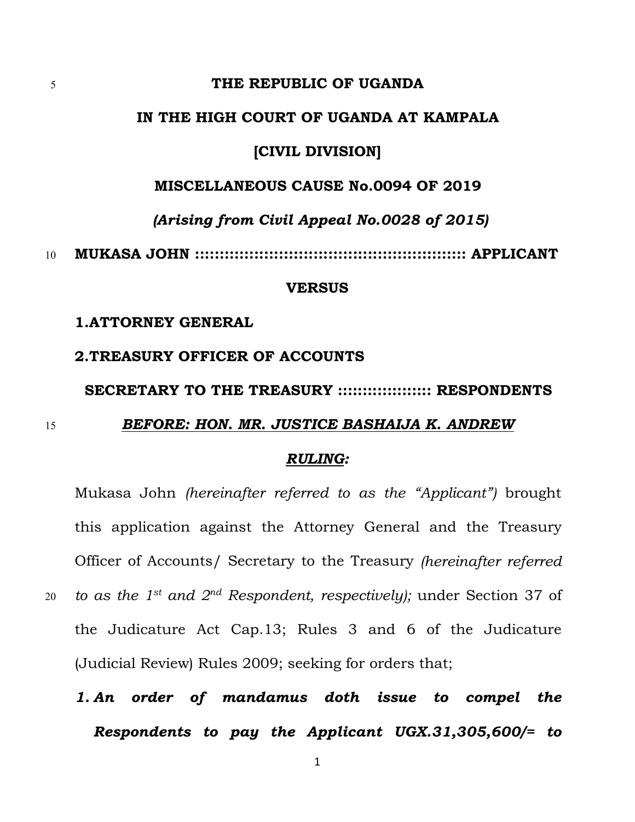## 5 **THE REPUBLIC OF UGANDA**

## **IN THE HIGH COURT OF UGANDA AT KAMPALA**

## **[CIVIL DIVISION]**

## **MISCELLANEOUS CAUSE No.0094 OF 2019**

## *(Arising from Civil Appeal No.0028 of 2015)*

10 **MUKASA JOHN ::::::::::::::::::::::::::::::::::::::::::::::::::::::: APPLICANT**

#### **VERSUS**

## **1.ATTORNEY GENERAL**

# **2.TREASURY OFFICER OF ACCOUNTS**

#### **SECRETARY TO THE TREASURY ::::::::::::::::::: RESPONDENTS**

## 15 *BEFORE: HON. MR. JUSTICE BASHAIJA K. ANDREW*

#### *RULING:*

Mukasa John *(hereinafter referred to as the "Applicant")* brought this application against the Attorney General and the Treasury Officer of Accounts/ Secretary to the Treasury *(hereinafter referred to as the 1 st and 2* 20 *nd Respondent, respectively);* under Section 37 of the Judicature Act Cap.13; Rules 3 and 6 of the Judicature (Judicial Review) Rules 2009; seeking for orders that;

*1. An order of mandamus doth issue to compel the Respondents to pay the Applicant UGX.31,305,600/= to*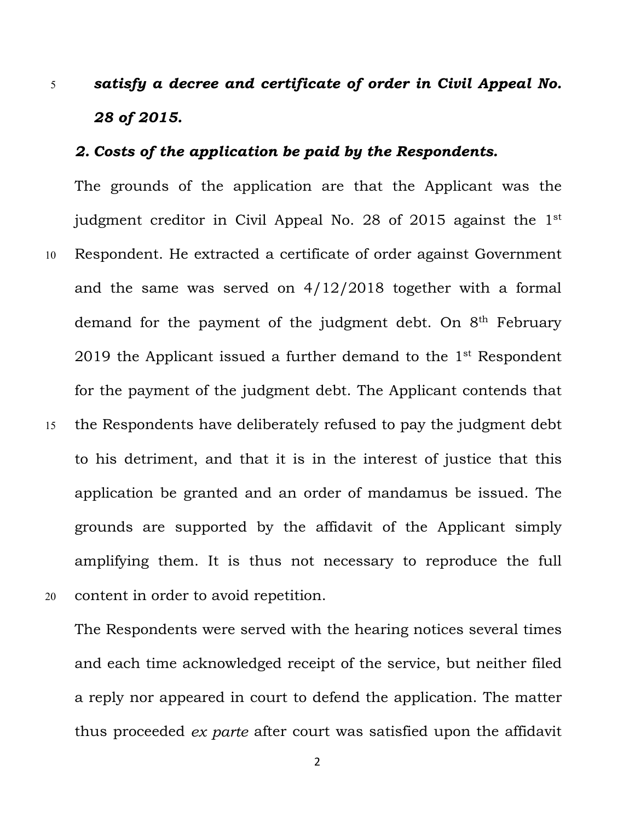# 5 *satisfy a decree and certificate of order in Civil Appeal No. 28 of 2015.*

# *2. Costs of the application be paid by the Respondents.*

The grounds of the application are that the Applicant was the judgment creditor in Civil Appeal No. 28 of 2015 against the 1 st 10 Respondent. He extracted a certificate of order against Government and the same was served on 4/12/2018 together with a formal demand for the payment of the judgment debt. On 8<sup>th</sup> February 2019 the Applicant issued a further demand to the 1 st Respondent for the payment of the judgment debt. The Applicant contends that 15 the Respondents have deliberately refused to pay the judgment debt to his detriment, and that it is in the interest of justice that this application be granted and an order of mandamus be issued. The grounds are supported by the affidavit of the Applicant simply amplifying them. It is thus not necessary to reproduce the full

20 content in order to avoid repetition.

The Respondents were served with the hearing notices several times and each time acknowledged receipt of the service, but neither filed a reply nor appeared in court to defend the application. The matter thus proceeded *ex parte* after court was satisfied upon the affidavit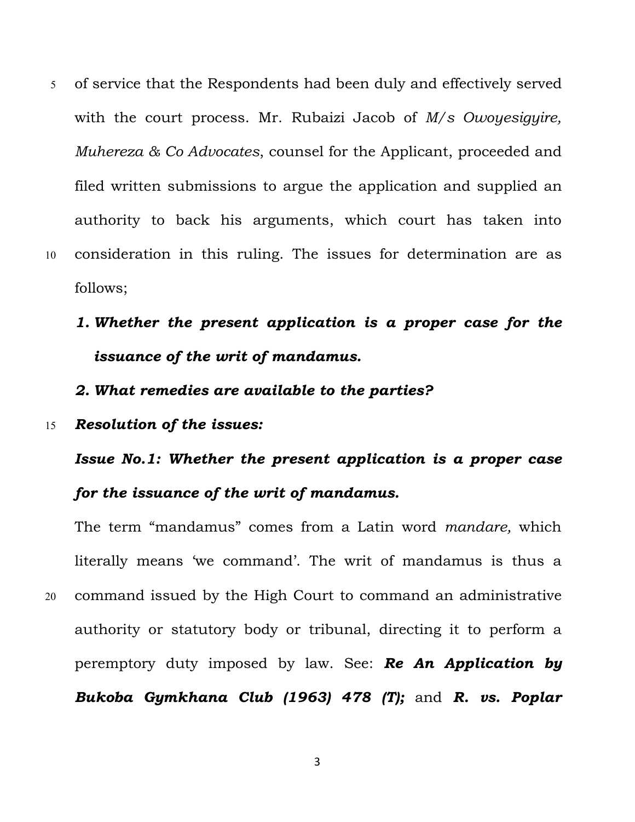- 5 of service that the Respondents had been duly and effectively served with the court process. Mr. Rubaizi Jacob of *M/s Owoyesigyire, Muhereza & Co Advocates*, counsel for the Applicant, proceeded and filed written submissions to argue the application and supplied an authority to back his arguments, which court has taken into 10 consideration in this ruling.The issues for determination are as follows;
	- *1. Whether the present application is a proper case for the issuance of the writ of mandamus.*

*2. What remedies are available to the parties?*

15 *Resolution of the issues:*

*Issue No.1: Whether the present application is a proper case for the issuance of the writ of mandamus.*

The term "mandamus" comes from a Latin word *mandare,* which literally means 'we command'. The writ of mandamus is thus a 20 command issued by the High Court to command an administrative authority or statutory body or tribunal, directing it to perform a peremptory duty imposed by law. See: *Re An Application by Bukoba Gymkhana Club (1963) 478 (T);* and *R. vs. Poplar*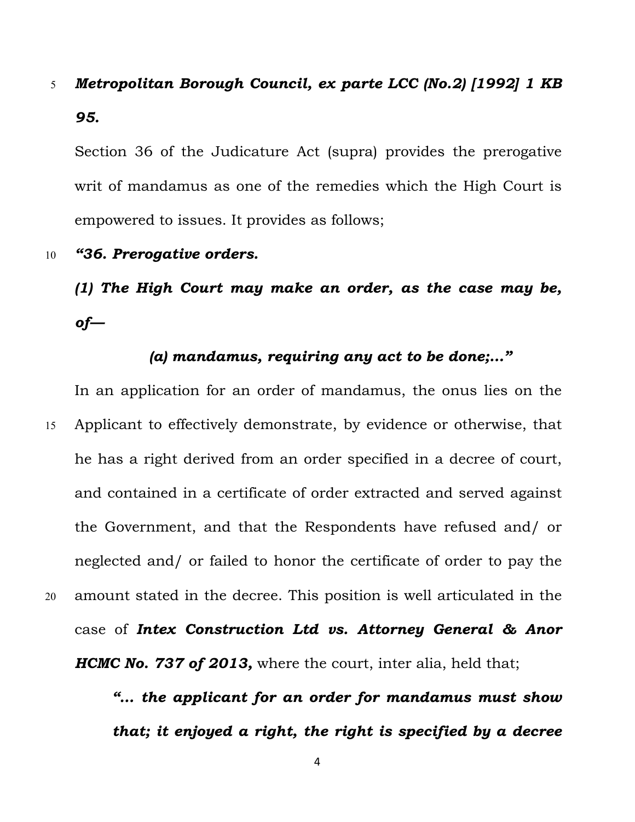# 5 *Metropolitan Borough Council, ex parte LCC (No.2)[1992] 1 KB 95.*

Section 36 of the Judicature Act (supra) provides the prerogative writ of mandamus as one of the remedies which the High Court is empowered to issues. It provides as follows;

# 10 *"36. Prerogative orders.*

*(1) The High Court may make an order, as the case may be, of—*

# *(a) mandamus, requiring any act to be done;…"*

In an application for an order of mandamus, the onus lies on the 15 Applicant to effectively demonstrate, by evidence or otherwise, that he has a right derived from an order specified in a decree of court, and contained in a certificate of order extracted and served against the Government, and that the Respondents have refused and/ or neglected and/ or failed to honor the certificate of order to pay the 20 amount stated in the decree.This position is well articulated in the case of *Intex Construction Ltd vs. Attorney General & Anor HCMC No. 737 of 2013,* where the court, inter alia, held that;

> *"… the applicant for an order for mandamus must show that; it enjoyed a right, the right is specified by a decree*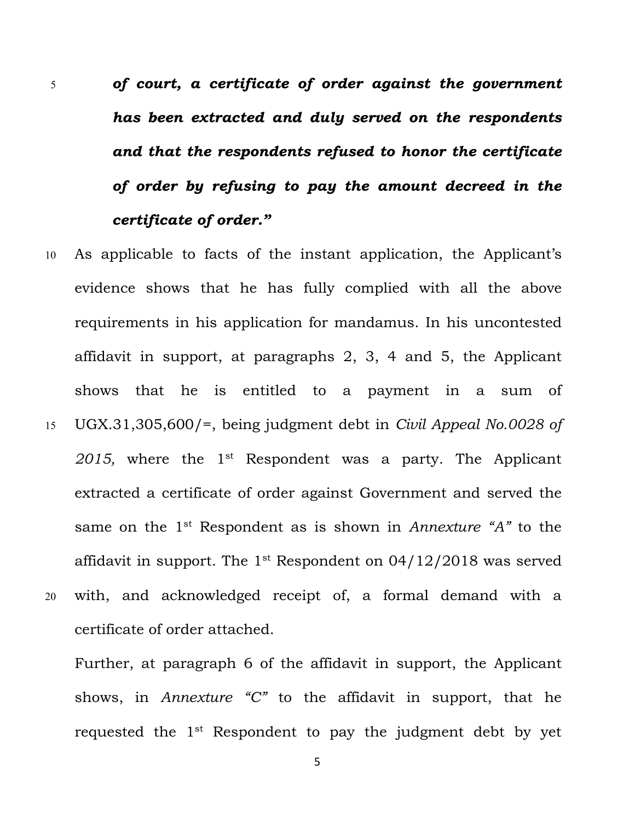- 5 *of court, a certificate of order against the government has been extracted and duly served on the respondents and that the respondents refused to honor the certificate of order by refusing to pay the amount decreed in the certificate of order."*
- 10 As applicable to facts of the instant application, the Applicant's evidence shows that he has fully complied with all the above requirements in his application for mandamus. In his uncontested affidavit in support, at paragraphs 2, 3, 4 and 5, the Applicant shows that he is entitled to a payment in a sum of 15 UGX.31,305,600/=, being judgment debt in *Civil Appeal No.0028 of 2015,* where the 1 st Respondent was a party. The Applicant extracted a certificate of order against Government and served the same on the 1 st Respondent as is shown in *Annexture "A"* to the affidavit in support. The  $1^{\rm st}$  Respondent on 04/12/2018 was served 20 with, and acknowledged receipt of, a formal demand with a certificate of order attached.

Further, at paragraph 6 of the affidavit in support, the Applicant shows, in *Annexture "C"* to the affidavit in support, that he requested the 1st Respondent to pay the judgment debt by yet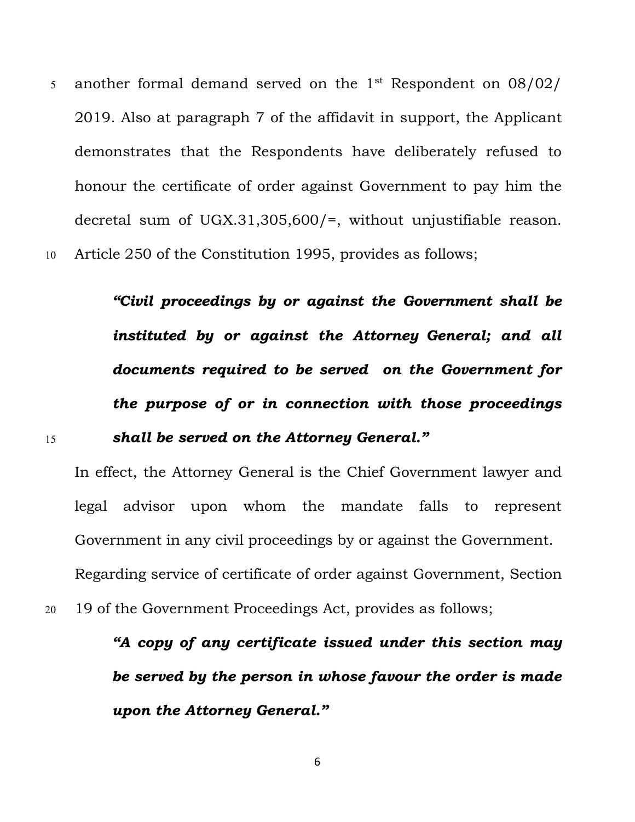$\,$  s  $\,$  another formal demand served on the  $1^\text{st}$  Respondent on 08/02/  $\,$ 2019. Also at paragraph 7 of the affidavit in support, the Applicant demonstrates that the Respondents have deliberately refused to honour the certificate of order against Government to pay him the decretal sum of UGX.31,305,600/=, without unjustifiable reason. 10 Article 250 of the Constitution 1995, provides as follows;

*"Civil proceedings by or against the Government shall be instituted by or against the Attorney General;and all documents required tobe served on the Government for the purpose of or in connection with those proceedings*

# 15 *shall be served on the Attorney General."*

In effect, the Attorney General is the Chief Government lawyer and legal advisor upon whom the mandate falls to represent Government in any civil proceedings by or against the Government. Regarding service of certificate of order against Government, Section

20 19 of the Government Proceedings Act, provides as follows;

*"A copy of any certificate issued under this section may be served bythe person in whose favour the order is made upon the Attorney General."*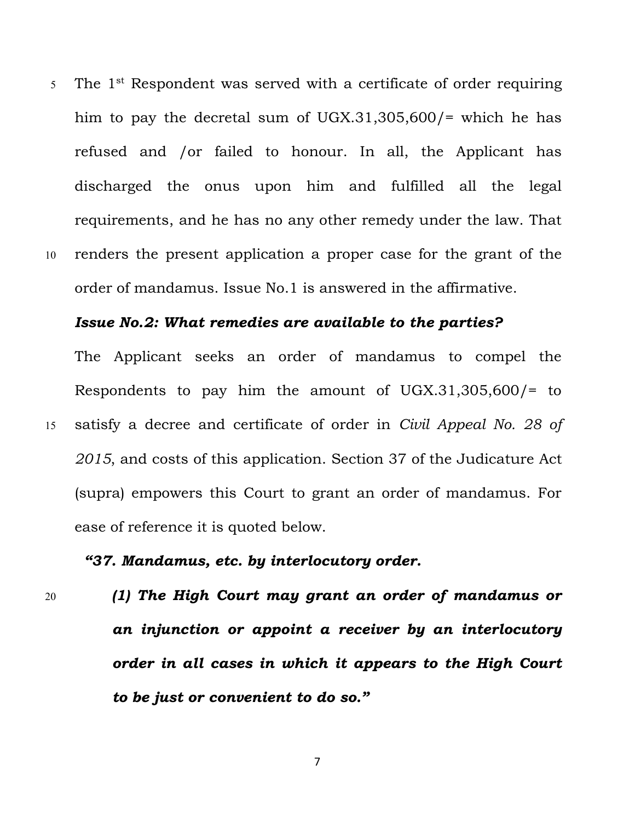$5$  The  $1^\text{st}$  Respondent was served with a certificate of order requiring him to pay the decretal sum of UGX.31,305,600/= which he has refused and /or failed to honour. In all, the Applicant has discharged the onus upon him and fulfilled all the legal requirements, and he has no any other remedy under the law. That 10 renders the present application a proper case for the grant of the order of mandamus. Issue No.1 is answered in the affirmative.

## *Issue No.2: What remedies are available to the parties?*

The Applicant seeks an order of mandamus to compel the Respondents to pay him the amount of UGX.31,305,600/= to 15 satisfy a decree and certificate of order in *Civil Appeal No. 28 of 2015*, and costs of this application. Section 37 of the Judicature Act (supra) empowers this Court to grant an order of mandamus. For ease of reference it is quoted below.

# *"37. Mandamus, etc. by interlocutory order.*

20 *(1) The High Court may grant an order ofmandamus or an injunction or appoint a receiver by an interlocutory order in all cases in which it appears to the High Court to be justor convenient to do so."*